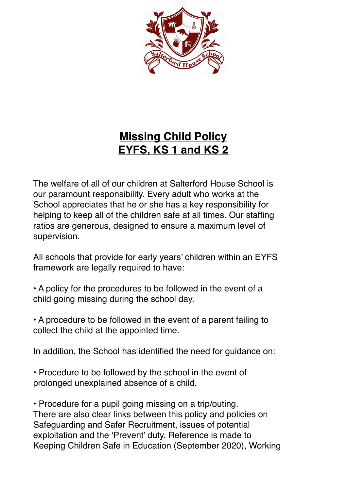

# **Missing Child Policy EYFS, KS 1 and KS 2**

The welfare of all of our children at Salterford House School is our paramount responsibility. Every adult who works at the School appreciates that he or she has a key responsibility for helping to keep all of the children safe at all times. Our staffing ratios are generous, designed to ensure a maximum level of supervision.

All schools that provide for early years' children within an EYFS framework are legally required to have:

• A policy for the procedures to be followed in the event of a child going missing during the school day.

• A procedure to be followed in the event of a parent failing to collect the child at the appointed time.

In addition, the School has identified the need for guidance on:

• Procedure to be followed by the school in the event of prolonged unexplained absence of a child.

• Procedure for a pupil going missing on a trip/outing. There are also clear links between this policy and policies on Safeguarding and Safer Recruitment, issues of potential exploitation and the 'Prevent' duty. Reference is made to Keeping Children Safe in Education (September 2020), Working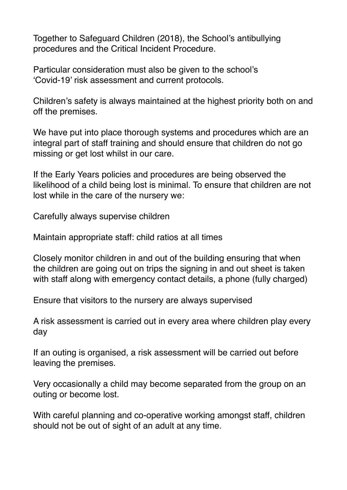Together to Safeguard Children (2018), the School's antibullying procedures and the Critical Incident Procedure.

Particular consideration must also be given to the school's 'Covid-19' risk assessment and current protocols.

Children's safety is always maintained at the highest priority both on and off the premises.

We have put into place thorough systems and procedures which are an integral part of staff training and should ensure that children do not go missing or get lost whilst in our care.

If the Early Years policies and procedures are being observed the likelihood of a child being lost is minimal. To ensure that children are not lost while in the care of the nursery we:

Carefully always supervise children

Maintain appropriate staff: child ratios at all times

Closely monitor children in and out of the building ensuring that when the children are going out on trips the signing in and out sheet is taken with staff along with emergency contact details, a phone (fully charged)

Ensure that visitors to the nursery are always supervised

A risk assessment is carried out in every area where children play every day

If an outing is organised, a risk assessment will be carried out before leaving the premises.

Very occasionally a child may become separated from the group on an outing or become lost.

With careful planning and co-operative working amongst staff, children should not be out of sight of an adult at any time.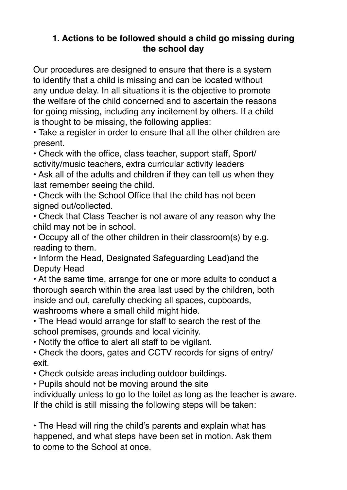# **1. Actions to be followed should a child go missing during the school day**

Our procedures are designed to ensure that there is a system to identify that a child is missing and can be located without any undue delay. In all situations it is the objective to promote the welfare of the child concerned and to ascertain the reasons for going missing, including any incitement by others. If a child is thought to be missing, the following applies:

• Take a register in order to ensure that all the other children are present.

• Check with the office, class teacher, support staff, Sport/ activity/music teachers, extra curricular activity leaders

• Ask all of the adults and children if they can tell us when they last remember seeing the child.

• Check with the School Office that the child has not been signed out/collected.

• Check that Class Teacher is not aware of any reason why the child may not be in school.

• Occupy all of the other children in their classroom(s) by e.g. reading to them.

• Inform the Head, Designated Safeguarding Lead)and the Deputy Head

• At the same time, arrange for one or more adults to conduct a thorough search within the area last used by the children, both inside and out, carefully checking all spaces, cupboards, washrooms where a small child might hide.

• The Head would arrange for staff to search the rest of the school premises, grounds and local vicinity.

• Notify the office to alert all staff to be vigilant.

• Check the doors, gates and CCTV records for signs of entry/ exit.

• Check outside areas including outdoor buildings.

• Pupils should not be moving around the site

individually unless to go to the toilet as long as the teacher is aware. If the child is still missing the following steps will be taken:

• The Head will ring the child's parents and explain what has happened, and what steps have been set in motion. Ask them to come to the School at once.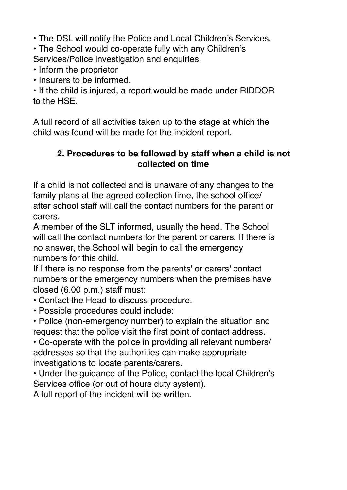• The DSL will notify the Police and Local Children's Services.

• The School would co-operate fully with any Children's Services/Police investigation and enquiries.

• Inform the proprietor

• Insurers to be informed.

• If the child is injured, a report would be made under RIDDOR to the HSE.

A full record of all activities taken up to the stage at which the child was found will be made for the incident report.

# **2. Procedures to be followed by staff when a child is not collected on time**

If a child is not collected and is unaware of any changes to the family plans at the agreed collection time, the school office/ after school staff will call the contact numbers for the parent or carers.

A member of the SLT informed, usually the head. The School will call the contact numbers for the parent or carers. If there is no answer, the School will begin to call the emergency numbers for this child.

If I there is no response from the parents' or carers' contact numbers or the emergency numbers when the premises have closed (6.00 p.m.) staff must:

• Contact the Head to discuss procedure.

• Possible procedures could include:

• Police (non-emergency number) to explain the situation and request that the police visit the first point of contact address.

• Co-operate with the police in providing all relevant numbers/ addresses so that the authorities can make appropriate investigations to locate parents/carers.

• Under the guidance of the Police, contact the local Children's Services office (or out of hours duty system).

A full report of the incident will be written.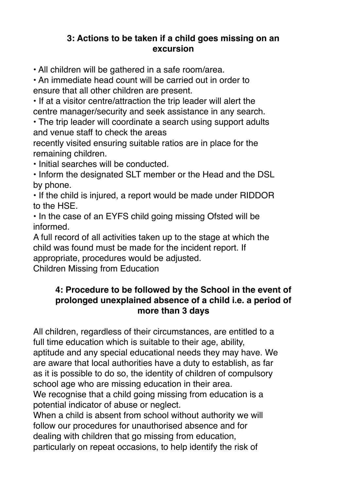#### **3: Actions to be taken if a child goes missing on an excursion**

• All children will be gathered in a safe room/area.

• An immediate head count will be carried out in order to ensure that all other children are present.

• If at a visitor centre/attraction the trip leader will alert the centre manager/security and seek assistance in any search.

• The trip leader will coordinate a search using support adults and venue staff to check the areas

recently visited ensuring suitable ratios are in place for the remaining children.

• Initial searches will be conducted.

• Inform the designated SLT member or the Head and the DSL by phone.

• If the child is injured, a report would be made under RIDDOR to the HSE.

• In the case of an EYFS child going missing Ofsted will be informed.

A full record of all activities taken up to the stage at which the child was found must be made for the incident report. If appropriate, procedures would be adjusted.

Children Missing from Education

#### **4: Procedure to be followed by the School in the event of prolonged unexplained absence of a child i.e. a period of more than 3 days**

All children, regardless of their circumstances, are entitled to a full time education which is suitable to their age, ability, aptitude and any special educational needs they may have. We are aware that local authorities have a duty to establish, as far as it is possible to do so, the identity of children of compulsory school age who are missing education in their area.

We recognise that a child going missing from education is a potential indicator of abuse or neglect.

When a child is absent from school without authority we will follow our procedures for unauthorised absence and for dealing with children that go missing from education, particularly on repeat occasions, to help identify the risk of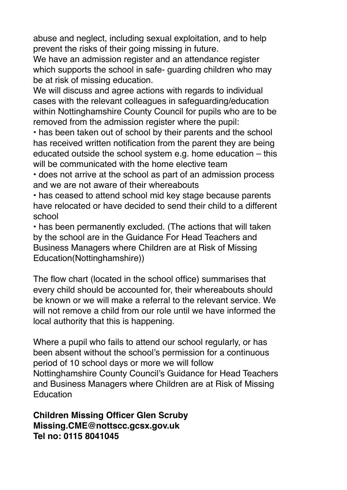abuse and neglect, including sexual exploitation, and to help prevent the risks of their going missing in future.

We have an admission register and an attendance register which supports the school in safe- guarding children who may be at risk of missing education.

We will discuss and agree actions with regards to individual cases with the relevant colleagues in safeguarding/education within Nottinghamshire County Council for pupils who are to be removed from the admission register where the pupil:

• has been taken out of school by their parents and the school has received written notification from the parent they are being educated outside the school system e.g. home education – this will be communicated with the home elective team

• does not arrive at the school as part of an admission process and we are not aware of their whereabouts

• has ceased to attend school mid key stage because parents have relocated or have decided to send their child to a different school

• has been permanently excluded. (The actions that will taken by the school are in the Guidance For Head Teachers and Business Managers where Children are at Risk of Missing Education(Nottinghamshire))

The flow chart (located in the school office) summarises that every child should be accounted for, their whereabouts should be known or we will make a referral to the relevant service. We will not remove a child from our role until we have informed the local authority that this is happening.

Where a pupil who fails to attend our school regularly, or has been absent without the school's permission for a continuous period of 10 school days or more we will follow Nottinghamshire County Council's Guidance for Head Teachers and Business Managers where Children are at Risk of Missing **Education** 

**Children Missing Officer Glen Scruby Missing.CME@nottscc.gcsx.gov.uk Tel no: 0115 8041045**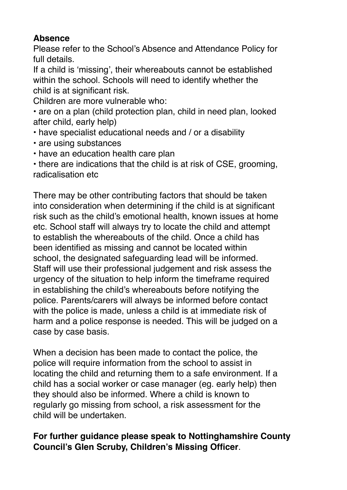# **Absence**

Please refer to the School's Absence and Attendance Policy for full details.

If a child is 'missing', their whereabouts cannot be established within the school. Schools will need to identify whether the child is at significant risk.

Children are more vulnerable who:

• are on a plan (child protection plan, child in need plan, looked after child, early help)

- have specialist educational needs and / or a disability
- are using substances
- have an education health care plan

• there are indications that the child is at risk of CSE, grooming, radicalisation etc

There may be other contributing factors that should be taken into consideration when determining if the child is at significant risk such as the child's emotional health, known issues at home etc. School staff will always try to locate the child and attempt to establish the whereabouts of the child. Once a child has been identified as missing and cannot be located within school, the designated safeguarding lead will be informed. Staff will use their professional judgement and risk assess the urgency of the situation to help inform the timeframe required in establishing the child's whereabouts before notifying the police. Parents/carers will always be informed before contact with the police is made, unless a child is at immediate risk of harm and a police response is needed. This will be judged on a case by case basis.

When a decision has been made to contact the police, the police will require information from the school to assist in locating the child and returning them to a safe environment. If a child has a social worker or case manager (eg. early help) then they should also be informed. Where a child is known to regularly go missing from school, a risk assessment for the child will be undertaken.

# **For further guidance please speak to Nottinghamshire County Council's Glen Scruby, Children's Missing Officer**.